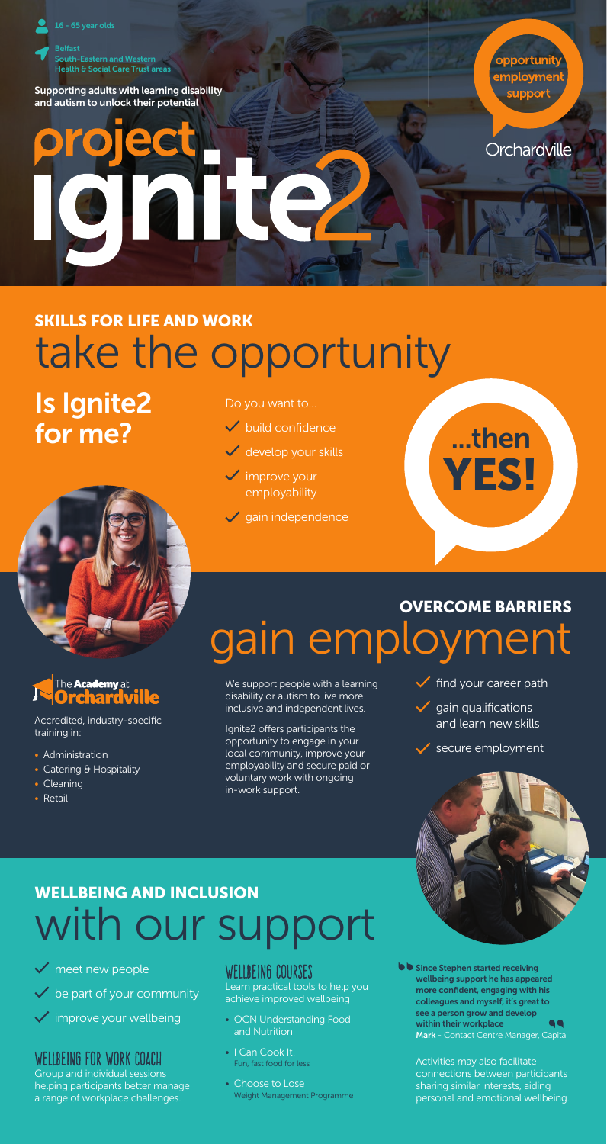

Supporting adults with learning disability and autism to unlock their potential

opportunit employmen suppor

Orchardville

# take the opportunity SKILLS FOR LIFE AND WORK

Is Ignite2 for me?



## The **Academy** at<br>**Orchardvi**

Accredited, industry-specific training in:

- Administration
- Catering & Hospitality
- Cleaning
- Retail

### Do you want to...

- $\checkmark$  build confidence
- $\checkmark$  develop your skills
- $\checkmark$  improve your employability
- $\checkmark$  gain independence



## gain employment OVERCOME BARRIERS

We support people with a learning disability or autism to live more inclusive and independent lives.

Ignite2 offers participants the opportunity to engage in your local community, improve your employability and secure paid or voluntary work with ongoing in-work support.

 $\checkmark$  find your career path

 $\checkmark$  gain qualifications and learn new skills

secure employment



## vith our sı WELLBEING AND INCLUSION

meet new people

- be part of your community
- improve your wellbeing

### WELLBEING FOR WORK COACH

Group and individual sessions helping participants better manage a range of workplace challenges.

### WELLBEING COURSES

Learn practical tools to help you achieve improved wellbeing

- OCN Understanding Food and Nutrition
- I Can Cook It! Fun, fast food for less
- Choose to Lose Weight Management Programme

**Since Stephen started receiving** wellbeing support he has appeared more confident, engaging with his colleagues and myself, it's great to see a person grow and develop within their workplace  $\bullet$ Mark - Contact Centre Manager, Capita

Activities may also facilitate connections between participants sharing similar interests, aiding personal and emotional wellbeing.